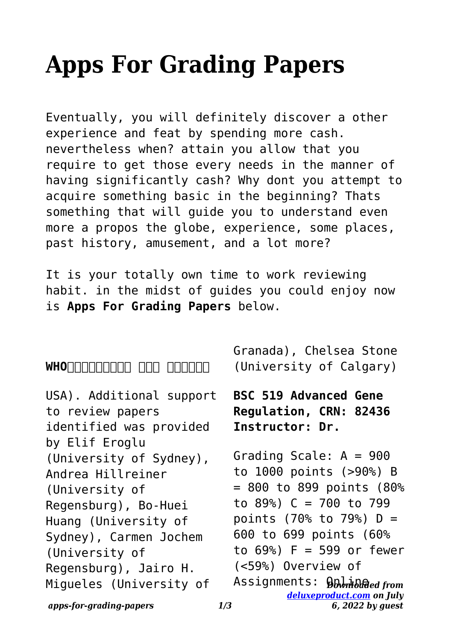# **Apps For Grading Papers**

Eventually, you will definitely discover a other experience and feat by spending more cash. nevertheless when? attain you allow that you require to get those every needs in the manner of having significantly cash? Why dont you attempt to acquire something basic in the beginning? Thats something that will guide you to understand even more a propos the globe, experience, some places, past history, amusement, and a lot more?

It is your totally own time to work reviewing habit. in the midst of guides you could enjoy now is **Apps For Grading Papers** below.

WHONODODOOD OND ONDOOD

USA). Additional support to review papers identified was provided by Elif Eroglu (University of Sydney), Andrea Hillreiner (University of Regensburg), Bo-Huei Huang (University of Sydney), Carmen Jochem (University of Regensburg), Jairo H. Migueles (University of

Granada), Chelsea Stone (University of Calgary)

**BSC 519 Advanced Gene Regulation, CRN: 82436 Instructor: Dr.**

Assignments: **ይ**‱ዝልმed from Grading Scale: A = 900 to 1000 points (>90%) B  $= 800$  to 899 points (80%) to 89%) C = 700 to 799 points (70% to 79%) D = 600 to 699 points (60% to 69%) F = 599 or fewer (<59%) Overview of

*apps-for-grading-papers 1/3*

*[deluxeproduct.com](http://deluxeproduct.com) on July*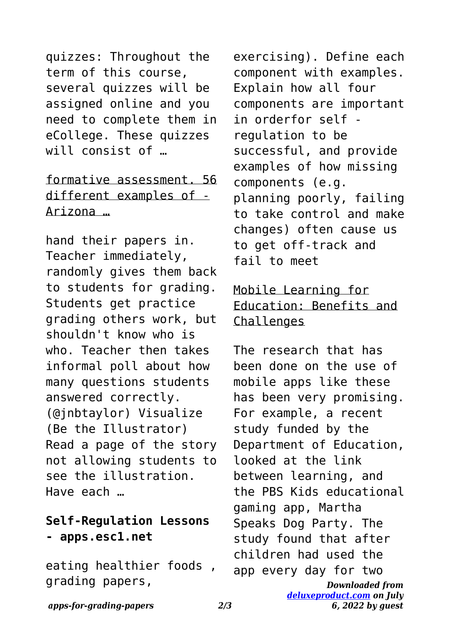quizzes: Throughout the term of this course, several quizzes will be assigned online and you need to complete them in eCollege. These quizzes will consist of …

## formative assessment. 56 different examples of - Arizona …

hand their papers in. Teacher immediately, randomly gives them back to students for grading. Students get practice grading others work, but shouldn't know who is who. Teacher then takes informal poll about how many questions students answered correctly. (@jnbtaylor) Visualize (Be the Illustrator) Read a page of the story not allowing students to see the illustration. Have each …

#### **Self-Regulation Lessons - apps.esc1.net**

eating healthier foods , grading papers,

exercising). Define each component with examples. Explain how all four components are important in orderfor self regulation to be successful, and provide examples of how missing components (e.g. planning poorly, failing to take control and make changes) often cause us to get off-track and fail to meet

#### Mobile Learning for Education: Benefits and **Challenges**

*Downloaded from [deluxeproduct.com](http://deluxeproduct.com) on July* The research that has been done on the use of mobile apps like these has been very promising. For example, a recent study funded by the Department of Education, looked at the link between learning, and the PBS Kids educational gaming app, Martha Speaks Dog Party. The study found that after children had used the app every day for two

*6, 2022 by guest*

*apps-for-grading-papers 2/3*